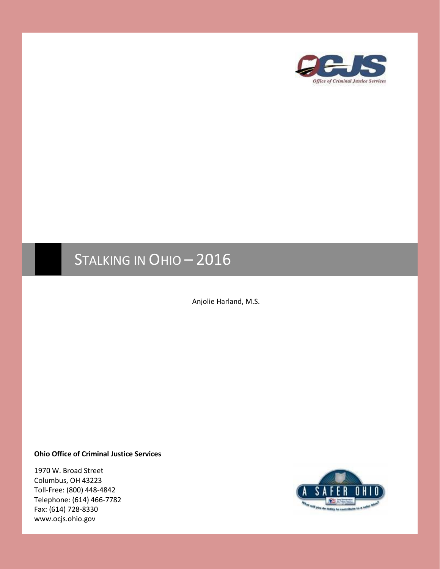

# STALKING IN OHIO - 2016

Anjolie Harland, M.S.

#### **Ohio Office of Criminal Justice Services**

1970 W. Broad Street Columbus, OH 43223 Toll-Free: (800) 448-4842 Telephone: (614) 466-7782 Fax: (614) 728-8330 www.ocjs.ohio.gov

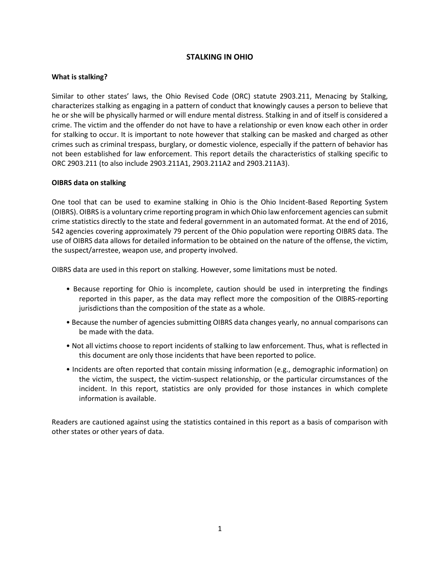## **STALKING IN OHIO**

## **What is stalking?**

Similar to other states' laws, the Ohio Revised Code (ORC) statute 2903.211, Menacing by Stalking, characterizes stalking as engaging in a pattern of conduct that knowingly causes a person to believe that he or she will be physically harmed or will endure mental distress. Stalking in and of itself is considered a crime. The victim and the offender do not have to have a relationship or even know each other in order for stalking to occur. It is important to note however that stalking can be masked and charged as other crimes such as criminal trespass, burglary, or domestic violence, especially if the pattern of behavior has not been established for law enforcement. This report details the characteristics of stalking specific to ORC 2903.211 (to also include 2903.211A1, 2903.211A2 and 2903.211A3).

## **OIBRS data on stalking**

One tool that can be used to examine stalking in Ohio is the Ohio Incident-Based Reporting System (OIBRS). OIBRS is a voluntary crime reporting program in which Ohio law enforcement agencies can submit crime statistics directly to the state and federal government in an automated format. At the end of 2016, 542 agencies covering approximately 79 percent of the Ohio population were reporting OIBRS data. The use of OIBRS data allows for detailed information to be obtained on the nature of the offense, the victim, the suspect/arrestee, weapon use, and property involved.

OIBRS data are used in this report on stalking. However, some limitations must be noted.

- Because reporting for Ohio is incomplete, caution should be used in interpreting the findings reported in this paper, as the data may reflect more the composition of the OIBRS-reporting jurisdictions than the composition of the state as a whole.
- Because the number of agencies submitting OIBRS data changes yearly, no annual comparisons can be made with the data.
- Not all victims choose to report incidents of stalking to law enforcement. Thus, what is reflected in this document are only those incidents that have been reported to police.
- Incidents are often reported that contain missing information (e.g., demographic information) on the victim, the suspect, the victim-suspect relationship, or the particular circumstances of the incident. In this report, statistics are only provided for those instances in which complete information is available.

Readers are cautioned against using the statistics contained in this report as a basis of comparison with other states or other years of data.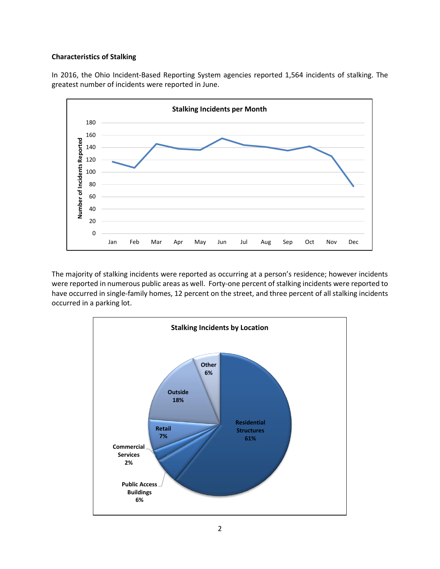## **Characteristics of Stalking**

In 2016, the Ohio Incident-Based Reporting System agencies reported 1,564 incidents of stalking. The greatest number of incidents were reported in June.



The majority of stalking incidents were reported as occurring at a person's residence; however incidents were reported in numerous public areas as well. Forty-one percent of stalking incidents were reported to have occurred in single-family homes, 12 percent on the street, and three percent of all stalking incidents occurred in a parking lot.

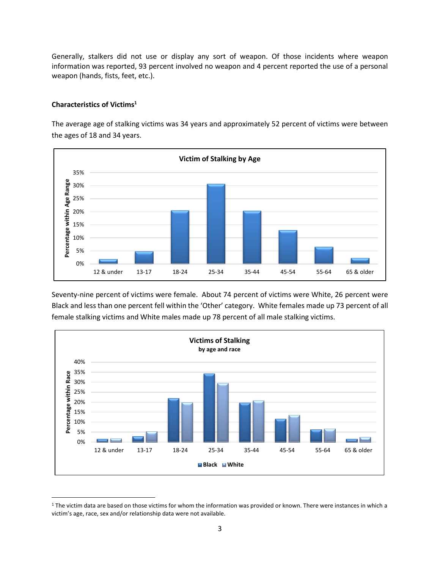Generally, stalkers did not use or display any sort of weapon. Of those incidents where weapon information was reported, 93 percent involved no weapon and 4 percent reported the use of a personal weapon (hands, fists, feet, etc.).

## **Characteristics of Victims<sup>1</sup>**

 $\overline{\phantom{a}}$ 

The average age of stalking victims was 34 years and approximately 52 percent of victims were between the ages of 18 and 34 years.



Seventy-nine percent of victims were female. About 74 percent of victims were White, 26 percent were Black and less than one percent fell within the 'Other' category. White females made up 73 percent of all female stalking victims and White males made up 78 percent of all male stalking victims.



<sup>&</sup>lt;sup>1</sup> The victim data are based on those victims for whom the information was provided or known. There were instances in which a victim's age, race, sex and/or relationship data were not available.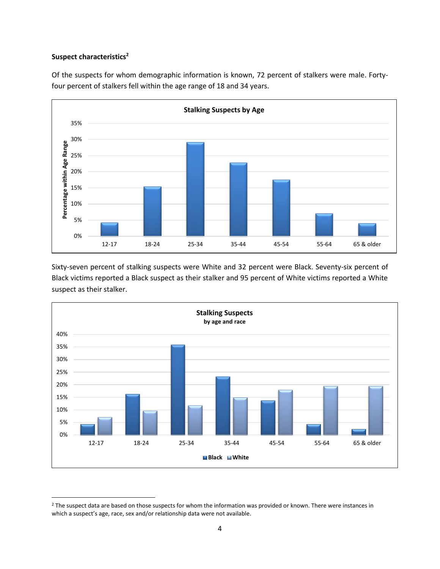## **Suspect characteristics<sup>2</sup>**

 $\overline{\phantom{a}}$ 

Of the suspects for whom demographic information is known, 72 percent of stalkers were male. Fortyfour percent of stalkers fell within the age range of 18 and 34 years.



Sixty-seven percent of stalking suspects were White and 32 percent were Black. Seventy-six percent of Black victims reported a Black suspect as their stalker and 95 percent of White victims reported a White suspect as their stalker.



<sup>&</sup>lt;sup>2</sup> The suspect data are based on those suspects for whom the information was provided or known. There were instances in which a suspect's age, race, sex and/or relationship data were not available.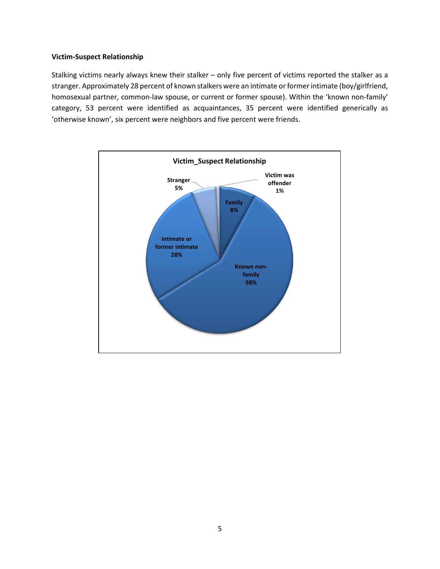## **Victim-Suspect Relationship**

Stalking victims nearly always knew their stalker – only five percent of victims reported the stalker as a stranger. Approximately 28 percent of known stalkers were an intimate or former intimate (boy/girlfriend, homosexual partner, common-law spouse, or current or former spouse). Within the 'known non-family' category, 53 percent were identified as acquaintances, 35 percent were identified generically as 'otherwise known', six percent were neighbors and five percent were friends.